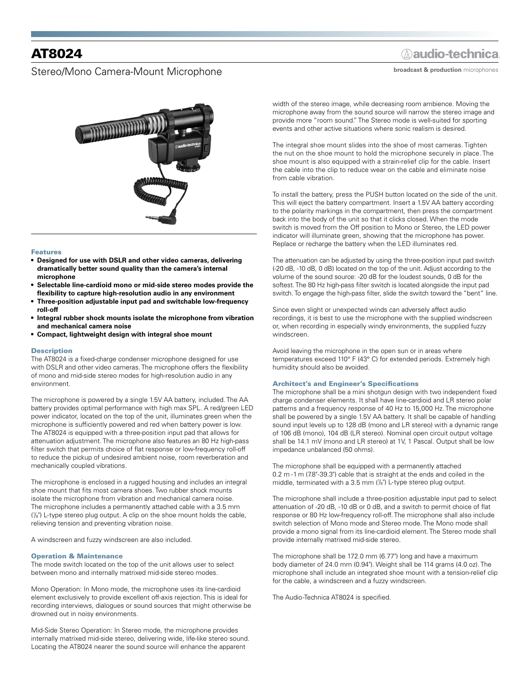# AT8024

### Stereo/Mono Camera-Mount Microphone

## **Aaudio-technica**

**broadcast & production** microphones



#### Features

- **• Designed for use with DSLR and other video cameras, delivering dramatically better sound quality than the camera's internal microphone**
- **• Selectable line-cardioid mono or mid-side stereo modes provide the flexibility to capture high-resolution audio in any environment**
- **• Three-position adjustable input pad and switchable low-frequency roll-off**
- **• Integral rubber shock mounts isolate the microphone from vibration and mechanical camera noise**
- **• Compact, lightweight design with integral shoe mount**

#### **Description**

The AT8024 is a fixed-charge condenser microphone designed for use with DSLR and other video cameras. The microphone offers the flexibility of mono and mid-side stereo modes for high-resolution audio in any environment.

The microphone is powered by a single 1.5V AA battery, included. The AA battery provides optimal performance with high max SPL. A red/green LED power indicator, located on the top of the unit, illuminates green when the microphone is sufficiently powered and red when battery power is low. The AT8024 is equipped with a three-position input pad that allows for attenuation adjustment. The microphone also features an 80 Hz high-pass filter switch that permits choice of flat response or low-frequency roll-off to reduce the pickup of undesired ambient noise, room reverberation and mechanically coupled vibrations.

The microphone is enclosed in a rugged housing and includes an integral shoe mount that fits most camera shoes. Two rubber shock mounts isolate the microphone from vibration and mechanical camera noise. The microphone includes a permanently attached cable with a 3.5 mm ( 1 /8") L-type stereo plug output. A clip on the shoe mount holds the cable, relieving tension and preventing vibration noise.

A windscreen and fuzzy windscreen are also included.

#### Operation & Maintenance

The mode switch located on the top of the unit allows user to select between mono and internally matrixed mid-side stereo modes.

Mono Operation: In Mono mode, the microphone uses its line-cardioid element exclusively to provide excellent off-axis rejection. This is ideal for recording interviews, dialogues or sound sources that might otherwise be drowned out in noisy environments.

Mid-Side Stereo Operation: In Stereo mode, the microphone provides internally matrixed mid-side stereo, delivering wide, life-like stereo sound. Locating the AT8024 nearer the sound source will enhance the apparent

width of the stereo image, while decreasing room ambience. Moving the microphone away from the sound source will narrow the stereo image and provide more "room sound." The Stereo mode is well-suited for sporting events and other active situations where sonic realism is desired.

The integral shoe mount slides into the shoe of most cameras. Tighten the nut on the shoe mount to hold the microphone securely in place. The shoe mount is also equipped with a strain-relief clip for the cable. Insert the cable into the clip to reduce wear on the cable and eliminate noise from cable vibration.

To install the battery, press the PUSH button located on the side of the unit. This will eject the battery compartment. Insert a 1.5V AA battery according to the polarity markings in the compartment, then press the compartment back into the body of the unit so that it clicks closed. When the mode switch is moved from the Off position to Mono or Stereo, the LED power indicator will illuminate green, showing that the microphone has power. Replace or recharge the battery when the LED illuminates red.

The attenuation can be adjusted by using the three-position input pad switch (-20 dB, -10 dB, 0 dB) located on the top of the unit. Adjust according to the volume of the sound source: -20 dB for the loudest sounds, 0 dB for the softest. The 80 Hz high-pass filter switch is located alongside the input pad switch. To engage the high-pass filter, slide the switch toward the "bent" line.

Since even slight or unexpected winds can adversely affect audio recordings, it is best to use the microphone with the supplied windscreen or, when recording in especially windy environments, the supplied fuzzy windscreen.

Avoid leaving the microphone in the open sun or in areas where temperatures exceed 110° F (43° C) for extended periods. Extremely high humidity should also be avoided.

#### Architect's and Engineer's Specifications

The microphone shall be a mini shotgun design with two independent fixed charge condenser elements. It shall have line-cardioid and LR stereo polar patterns and a frequency response of 40 Hz to 15,000 Hz. The microphone shall be powered by a single 1.5V AA battery. It shall be capable of handling sound input levels up to 128 dB (mono and LR stereo) with a dynamic range of 106 dB (mono), 104 dB (LR stereo). Nominal open circuit output voltage shall be 14.1 mV (mono and LR stereo) at 1V, 1 Pascal. Output shall be low impedance unbalanced (50 ohms).

The microphone shall be equipped with a permanently attached 0.2 m -1 m (7.8"-39.3") cable that is straight at the ends and coiled in the middle, terminated with a 3.5 mm (1/<sub>8</sub>") L-type stereo plug output.

The microphone shall include a three-position adjustable input pad to select attenuation of -20 dB, -10 dB or 0 dB, and a switch to permit choice of flat response or 80 Hz low-frequency roll-off. The microphone shall also include switch selection of Mono mode and Stereo mode. The Mono mode shall provide a mono signal from its line-cardioid element. The Stereo mode shall provide internally matrixed mid-side stereo.

The microphone shall be 172.0 mm (6.77") long and have a maximum body diameter of 24.0 mm (0.94"). Weight shall be 114 grams (4.0 oz). The microphone shall include an integrated shoe mount with a tension-relief clip for the cable, a windscreen and a fuzzy windscreen.

The Audio-Technica AT8024 is specified.